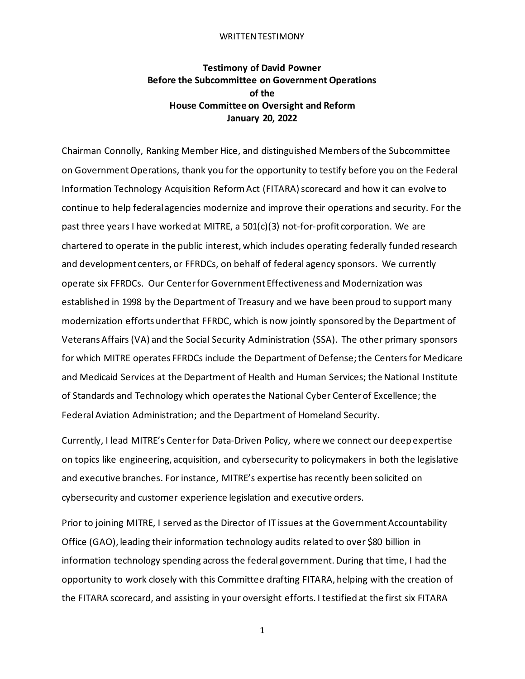#### WRITTEN TESTIMONY

# **Testimony of David Powner Before the Subcommittee on Government Operations of the House Committee on Oversight and Reform January 20, 2022**

Chairman Connolly, Ranking Member Hice, and distinguished Members of the Subcommittee on Government Operations, thank you for the opportunity to testify before you on the Federal Information Technology Acquisition Reform Act (FITARA) scorecard and how it can evolve to continue to help federal agencies modernize and improve their operations and security. For the past three years I have worked at MITRE, a 501(c)(3) not-for-profit corporation. We are chartered to operate in the public interest, which includes operating federally funded research and development centers, or FFRDCs, on behalf of federal agency sponsors. We currently operate six FFRDCs. Our Centerfor Government Effectiveness and Modernization was established in 1998 by the Department of Treasury and we have been proud to support many modernization efforts under that FFRDC, which is now jointly sponsored by the Department of Veterans Affairs (VA) and the Social Security Administration (SSA). The other primary sponsors for which MITRE operates FFRDCs include the Department of Defense; the Centersfor Medicare and Medicaid Services at the Department of Health and Human Services; the National Institute of Standards and Technology which operates the National Cyber Center of Excellence; the Federal Aviation Administration; and the Department of Homeland Security.

Currently, I lead MITRE's Center for Data-Driven Policy, where we connect our deep expertise on topics like engineering, acquisition, and cybersecurity to policymakers in both the legislative and executive branches. For instance, MITRE's expertise has recently been solicited on cybersecurity and customer experience legislation and executive orders.

Prior to joining MITRE, I served as the Director of IT issues at the Government Accountability Office (GAO), leading their information technology audits related to over \$80 billion in information technology spending across the federal government. During that time, I had the opportunity to work closely with this Committee drafting FITARA, helping with the creation of the FITARA scorecard, and assisting in your oversight efforts. I testified at the first six FITARA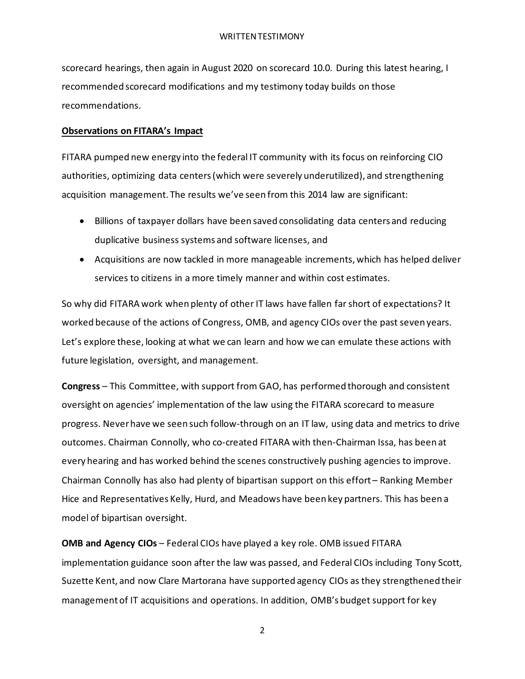scorecard hearings, then again in August 2020 on scorecard 10.0. During this latest hearing, I recommended scorecard modifications and my testimony today builds on those recommendations.

### **Observations on FITARA's Impact**

FITARA pumped new energy into the federal IT community with its focus on reinforcing CIO authorities, optimizing data centers (which were severely underutilized), and strengthening acquisition management. The results we've seen from this 2014 law are significant:

- Billions of taxpayer dollars have been saved consolidating data centers and reducing duplicative business systems and software licenses, and
- Acquisitions are now tackled in more manageable increments, which has helped deliver services to citizens in a more timely manner and within cost estimates.

So why did FITARA work when plenty of other IT laws have fallen far short of expectations? It worked because of the actions of Congress, OMB, and agency CIOs over the past seven years. Let's explore these, looking at what we can learn and how we can emulate these actions with future legislation, oversight, and management.

**Congress** – This Committee, with support from GAO, has performed thorough and consistent oversight on agencies' implementation of the law using the FITARA scorecard to measure progress. Never have we seen such follow-through on an IT law, using data and metrics to drive outcomes. Chairman Connolly, who co-created FITARA with then-Chairman Issa, has been at every hearing and has worked behind the scenes constructively pushing agencies to improve. Chairman Connolly has also had plenty of bipartisan support on this effort – Ranking Member Hice and Representatives Kelly, Hurd, and Meadows have been key partners. This has been a model of bipartisan oversight.

**OMB and Agency CIOs** – Federal CIOs have played a key role. OMB issued FITARA implementation guidance soon after the law was passed, and Federal CIOs including Tony Scott, Suzette Kent, and now Clare Martorana have supported agency CIOs as they strengthened their management of IT acquisitions and operations. In addition, OMB's budget support for key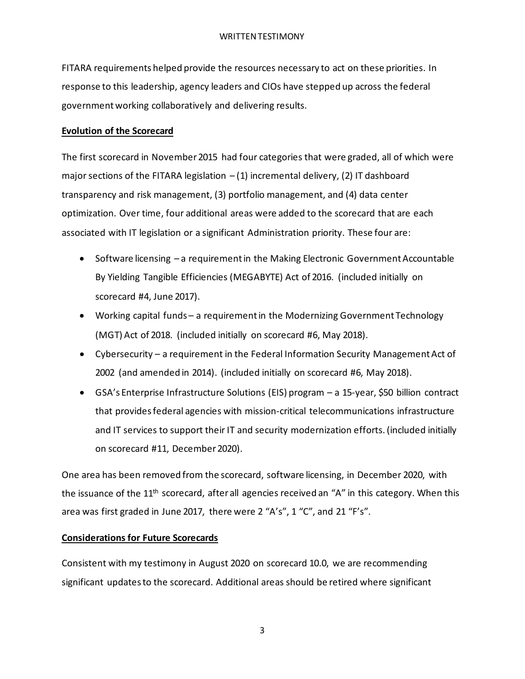FITARA requirements helped provide the resources necessary to act on these priorities. In response to this leadership, agency leaders and CIOs have stepped up across the federal government working collaboratively and delivering results.

### **Evolution of the Scorecard**

The first scorecard in November 2015 had four categories that were graded, all of which were major sections of the FITARA legislation  $-(1)$  incremental delivery, (2) IT dashboard transparency and risk management, (3) portfolio management, and (4) data center optimization. Over time, four additional areas were added to the scorecard that are each associated with IT legislation or a significant Administration priority. These four are:

- Software licensing a requirement in the Making Electronic Government Accountable By Yielding Tangible Efficiencies (MEGABYTE) Act of 2016. (included initially on scorecard #4, June 2017).
- Working capital funds a requirement in the Modernizing Government Technology (MGT) Act of 2018. (included initially on scorecard #6, May 2018).
- Cybersecurity a requirement in the Federal Information Security Management Act of 2002 (and amended in 2014). (included initially on scorecard #6, May 2018).
- GSA's Enterprise Infrastructure Solutions (EIS) program a 15-year, \$50 billion contract that provides federal agencies with mission-critical telecommunications infrastructure and IT services to support their IT and security modernization efforts.(included initially on scorecard #11, December 2020).

One area has been removed from the scorecard, software licensing, in December 2020, with the issuance of the 11<sup>th</sup> scorecard, after all agencies received an "A" in this category. When this area was first graded in June 2017, there were 2 "A's", 1 "C", and 21 "F's".

# **Considerations for Future Scorecards**

Consistent with my testimony in August 2020 on scorecard 10.0, we are recommending significant updates to the scorecard. Additional areas should be retired where significant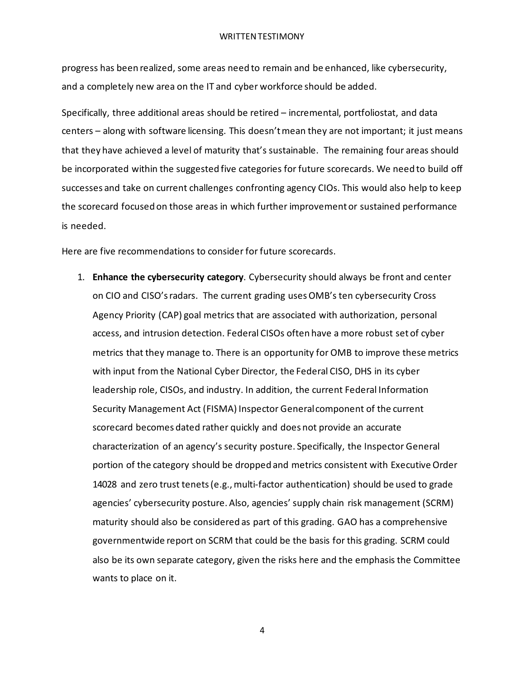progress has been realized, some areas need to remain and be enhanced, like cybersecurity, and a completely new area on the IT and cyber workforce should be added.

Specifically, three additional areas should be retired – incremental, portfoliostat, and data centers – along with software licensing. This doesn't mean they are not important; it just means that they have achieved a level of maturity that's sustainable. The remaining four areas should be incorporated within the suggested five categories for future scorecards. We need to build off successes and take on current challenges confronting agency CIOs. This would also help to keep the scorecard focused on those areas in which further improvement or sustained performance is needed.

Here are five recommendations to consider for future scorecards.

1. **Enhance the cybersecurity category**. Cybersecurity should always be front and center on CIO and CISO's radars. The current grading uses OMB's ten cybersecurity Cross Agency Priority (CAP) goal metrics that are associated with authorization, personal access, and intrusion detection. Federal CISOs often have a more robust set of cyber metrics that they manage to. There is an opportunity for OMB to improve these metrics with input from the National Cyber Director, the Federal CISO, DHS in its cyber leadership role, CISOs, and industry. In addition, the current Federal Information Security Management Act (FISMA) Inspector General component of the current scorecard becomes dated rather quickly and does not provide an accurate characterization of an agency's security posture. Specifically, the Inspector General portion of the category should be dropped and metrics consistent with Executive Order 14028 and zero trust tenets (e.g., multi-factor authentication) should be used to grade agencies' cybersecurity posture. Also, agencies' supply chain risk management (SCRM) maturity should also be considered as part of this grading. GAO has a comprehensive governmentwide report on SCRM that could be the basis for this grading. SCRM could also be its own separate category, given the risks here and the emphasis the Committee wants to place on it.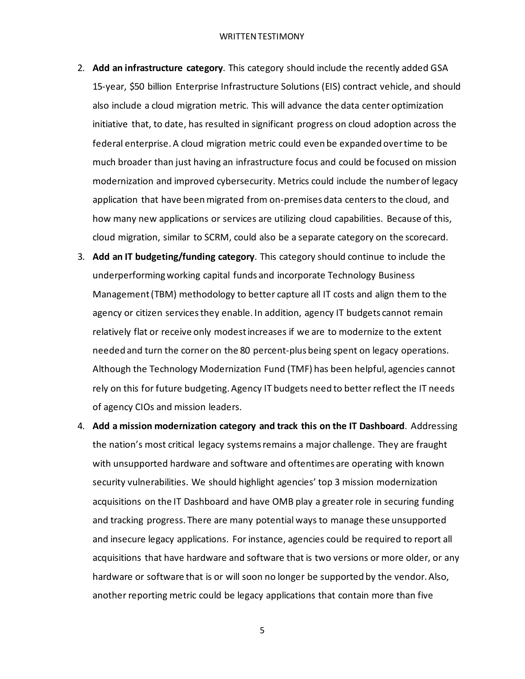- 2. **Add an infrastructure category**. This category should include the recently added GSA 15-year, \$50 billion Enterprise Infrastructure Solutions (EIS) contract vehicle, and should also include a cloud migration metric. This will advance the data center optimization initiative that, to date, has resulted in significant progress on cloud adoption across the federal enterprise. A cloud migration metric could even be expanded over time to be much broader than just having an infrastructure focus and could be focused on mission modernization and improved cybersecurity. Metrics could include the number of legacy application that have been migrated from on-premises data centers to the cloud, and how many new applications or services are utilizing cloud capabilities. Because of this, cloud migration, similar to SCRM, could also be a separate category on the scorecard.
- 3. **Add an IT budgeting/funding category**. This category should continue to include the underperforming working capital funds and incorporate Technology Business Management (TBM) methodology to better capture all IT costs and align them to the agency or citizen services they enable. In addition, agency IT budgets cannot remain relatively flat or receive only modest increases if we are to modernize to the extent needed and turn the corner on the 80 percent-plus being spent on legacy operations. Although the Technology Modernization Fund (TMF) has been helpful, agencies cannot rely on this for future budgeting. Agency IT budgets need to better reflect the IT needs of agency CIOs and mission leaders.
- 4. **Add a mission modernization category and track this on the IT Dashboard**. Addressing the nation's most critical legacy systems remains a major challenge. They are fraught with unsupported hardware and software and oftentimes are operating with known security vulnerabilities. We should highlight agencies' top 3 mission modernization acquisitions on the IT Dashboard and have OMB play a greater role in securing funding and tracking progress. There are many potential ways to manage these unsupported and insecure legacy applications. For instance, agencies could be required to report all acquisitions that have hardware and software that is two versions or more older, or any hardware or software that is or will soon no longer be supported by the vendor. Also, another reporting metric could be legacy applications that contain more than five